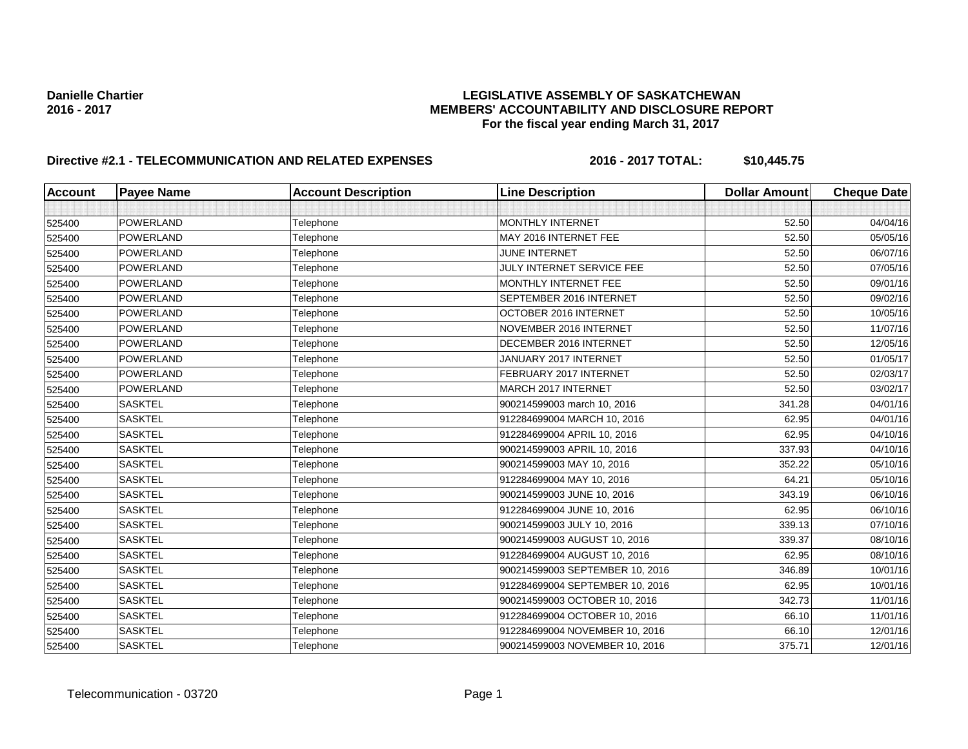### Danielle Chartier<br>**Danielle Chartier LEGISLATIVE ASSEMBLY OF SASKATCHEWAN**<br>MEMBERS' ACCOUNTABILITY AND DISCLOSURE REF **2016 - 2017 MEMBERS' ACCOUNTABILITY AND DISCLOSURE REPORT For the fiscal year ending March 31, 2017**

| <b>Account</b> | <b>Payee Name</b> | <b>Account Description</b> | <b>Line Description</b>         | <b>Dollar Amount</b> | <b>Cheque Date</b> |
|----------------|-------------------|----------------------------|---------------------------------|----------------------|--------------------|
|                |                   |                            |                                 |                      |                    |
| 525400         | POWERLAND         | Telephone                  | <b>MONTHLY INTERNET</b>         | 52.50                | 04/04/16           |
| 525400         | POWERLAND         | Telephone                  | MAY 2016 INTERNET FEE           | 52.50                | 05/05/16           |
| 525400         | POWERLAND         | Telephone                  | JUNE INTERNET                   | 52.50                | 06/07/16           |
| 525400         | POWERLAND         | Telephone                  | JULY INTERNET SERVICE FEE       | 52.50                | 07/05/16           |
| 525400         | POWERLAND         | Telephone                  | MONTHLY INTERNET FEE            | 52.50                | 09/01/16           |
| 525400         | POWERLAND         | Telephone                  | SEPTEMBER 2016 INTERNET         | 52.50                | 09/02/16           |
| 525400         | POWERLAND         | Telephone                  | OCTOBER 2016 INTERNET           | 52.50                | 10/05/16           |
| 525400         | POWERLAND         | Telephone                  | NOVEMBER 2016 INTERNET          | 52.50                | 11/07/16           |
| 525400         | POWERLAND         | Telephone                  | DECEMBER 2016 INTERNET          | 52.50                | 12/05/16           |
| 525400         | POWERLAND         | Telephone                  | JANUARY 2017 INTERNET           | 52.50                | 01/05/17           |
| 525400         | POWERLAND         | Telephone                  | FEBRUARY 2017 INTERNET          | 52.50                | 02/03/17           |
| 525400         | POWERLAND         | Telephone                  | MARCH 2017 INTERNET             | 52.50                | 03/02/17           |
| 525400         | <b>SASKTEL</b>    | Telephone                  | 900214599003 march 10, 2016     | 341.28               | 04/01/16           |
| 525400         | <b>SASKTEL</b>    | Telephone                  | 912284699004 MARCH 10, 2016     | 62.95                | 04/01/16           |
| 525400         | <b>SASKTEL</b>    | Telephone                  | 912284699004 APRIL 10, 2016     | 62.95                | 04/10/16           |
| 525400         | <b>SASKTEL</b>    | Telephone                  | 900214599003 APRIL 10, 2016     | 337.93               | 04/10/16           |
| 525400         | <b>SASKTEL</b>    | Telephone                  | 900214599003 MAY 10, 2016       | 352.22               | 05/10/16           |
| 525400         | <b>SASKTEL</b>    | Telephone                  | 912284699004 MAY 10, 2016       | 64.21                | 05/10/16           |
| 525400         | <b>SASKTEL</b>    | Telephone                  | 900214599003 JUNE 10, 2016      | 343.19               | 06/10/16           |
| 525400         | <b>SASKTEL</b>    | Telephone                  | 912284699004 JUNE 10, 2016      | 62.95                | 06/10/16           |
| 525400         | <b>SASKTEL</b>    | Telephone                  | 900214599003 JULY 10, 2016      | 339.13               | 07/10/16           |
| 525400         | <b>SASKTEL</b>    | Telephone                  | 900214599003 AUGUST 10, 2016    | 339.37               | 08/10/16           |
| 525400         | <b>SASKTEL</b>    | Telephone                  | 912284699004 AUGUST 10, 2016    | 62.95                | 08/10/16           |
| 525400         | <b>SASKTEL</b>    | Telephone                  | 900214599003 SEPTEMBER 10, 2016 | 346.89               | 10/01/16           |
| 525400         | <b>SASKTEL</b>    | Telephone                  | 912284699004 SEPTEMBER 10, 2016 | 62.95                | 10/01/16           |
| 525400         | <b>SASKTEL</b>    | Telephone                  | 900214599003 OCTOBER 10, 2016   | 342.73               | 11/01/16           |
| 525400         | <b>SASKTEL</b>    | Telephone                  | 912284699004 OCTOBER 10, 2016   | 66.10                | 11/01/16           |
| 525400         | <b>SASKTEL</b>    | Telephone                  | 912284699004 NOVEMBER 10, 2016  | 66.10                | 12/01/16           |
| 525400         | <b>SASKTEL</b>    | Telephone                  | 900214599003 NOVEMBER 10, 2016  | 375.71               | 12/01/16           |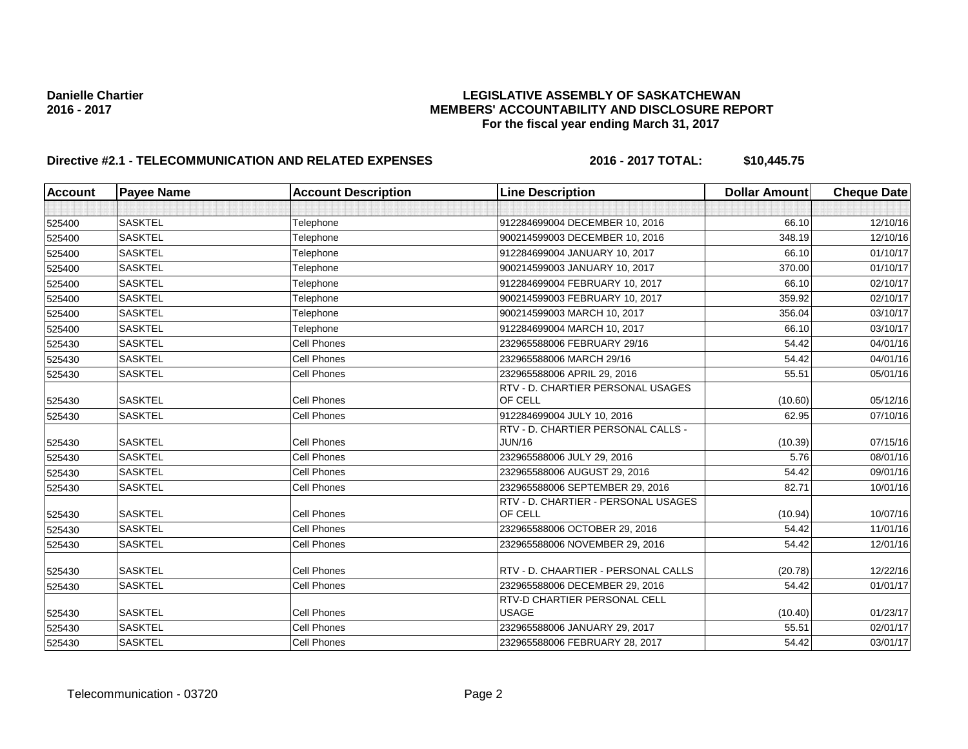### Danielle Chartier<br>**Danielle Chartier LEGISLATIVE ASSEMBLY OF SASKATCHEWAN**<br>MEMBERS' ACCOUNTABILITY AND DISCLOSURE REF **2016 - 2017 MEMBERS' ACCOUNTABILITY AND DISCLOSURE REPORT For the fiscal year ending March 31, 2017**

| <b>Account</b> | <b>Payee Name</b> | <b>Account Description</b> | <b>Line Description</b>                        | <b>Dollar Amount</b> | <b>Cheque Date</b> |
|----------------|-------------------|----------------------------|------------------------------------------------|----------------------|--------------------|
|                |                   |                            |                                                |                      |                    |
| 525400         | <b>SASKTEL</b>    | Telephone                  | 912284699004 DECEMBER 10, 2016                 | 66.10                | 12/10/16           |
| 525400         | <b>SASKTEL</b>    | Telephone                  | 900214599003 DECEMBER 10, 2016                 | 348.19               | 12/10/16           |
| 525400         | <b>SASKTEL</b>    | Telephone                  | 912284699004 JANUARY 10, 2017                  | 66.10                | 01/10/17           |
| 525400         | <b>SASKTEL</b>    | Telephone                  | 900214599003 JANUARY 10, 2017                  | 370.00               | 01/10/17           |
| 525400         | <b>SASKTEL</b>    | Telephone                  | 912284699004 FEBRUARY 10, 2017                 | 66.10                | 02/10/17           |
| 525400         | <b>SASKTEL</b>    | Telephone                  | 900214599003 FEBRUARY 10, 2017                 | 359.92               | 02/10/17           |
| 525400         | <b>SASKTEL</b>    | Telephone                  | 900214599003 MARCH 10, 2017                    | 356.04               | 03/10/17           |
| 525400         | <b>SASKTEL</b>    | Telephone                  | 912284699004 MARCH 10, 2017                    | 66.10                | 03/10/17           |
| 525430         | <b>SASKTEL</b>    | Cell Phones                | 232965588006 FEBRUARY 29/16                    | 54.42                | 04/01/16           |
| 525430         | <b>SASKTEL</b>    | <b>Cell Phones</b>         | 232965588006 MARCH 29/16                       | 54.42                | 04/01/16           |
| 525430         | <b>SASKTEL</b>    | Cell Phones                | 232965588006 APRIL 29, 2016                    | 55.51                | 05/01/16           |
|                |                   |                            | RTV - D. CHARTIER PERSONAL USAGES              |                      |                    |
| 525430         | <b>SASKTEL</b>    | <b>Cell Phones</b>         | OF CELL                                        | (10.60)              | 05/12/16           |
| 525430         | <b>SASKTEL</b>    | Cell Phones                | 912284699004 JULY 10, 2016                     | 62.95                | 07/10/16           |
|                |                   |                            | RTV - D. CHARTIER PERSONAL CALLS -             |                      |                    |
| 525430         | <b>SASKTEL</b>    | <b>Cell Phones</b>         | <b>JUN/16</b>                                  | (10.39)              | 07/15/16           |
| 525430         | <b>SASKTEL</b>    | Cell Phones                | 232965588006 JULY 29, 2016                     | 5.76                 | 08/01/16           |
| 525430         | <b>SASKTEL</b>    | Cell Phones                | 232965588006 AUGUST 29, 2016                   | 54.42                | 09/01/16           |
| 525430         | <b>SASKTEL</b>    | Cell Phones                | 232965588006 SEPTEMBER 29, 2016                | 82.71                | 10/01/16           |
|                | <b>SASKTEL</b>    | <b>Cell Phones</b>         | RTV - D. CHARTIER - PERSONAL USAGES<br>OF CELL |                      | 10/07/16           |
| 525430         |                   |                            |                                                | (10.94)              |                    |
| 525430         | <b>SASKTEL</b>    | <b>Cell Phones</b>         | 232965588006 OCTOBER 29, 2016                  | 54.42                | 11/01/16           |
| 525430         | <b>SASKTEL</b>    | Cell Phones                | 232965588006 NOVEMBER 29, 2016                 | 54.42                | 12/01/16           |
| 525430         | <b>SASKTEL</b>    | <b>Cell Phones</b>         | RTV - D. CHAARTIER - PERSONAL CALLS            | (20.78)              | 12/22/16           |
| 525430         | <b>SASKTEL</b>    | Cell Phones                | 232965588006 DECEMBER 29, 2016                 | 54.42                | 01/01/17           |
| 525430         | <b>SASKTEL</b>    | Cell Phones                | RTV-D CHARTIER PERSONAL CELL<br><b>USAGE</b>   | (10.40)              | 01/23/17           |
| 525430         | <b>SASKTEL</b>    | <b>Cell Phones</b>         | 232965588006 JANUARY 29, 2017                  | 55.51                | 02/01/17           |
| 525430         | <b>SASKTEL</b>    | <b>Cell Phones</b>         | 232965588006 FEBRUARY 28, 2017                 | 54.42                | 03/01/17           |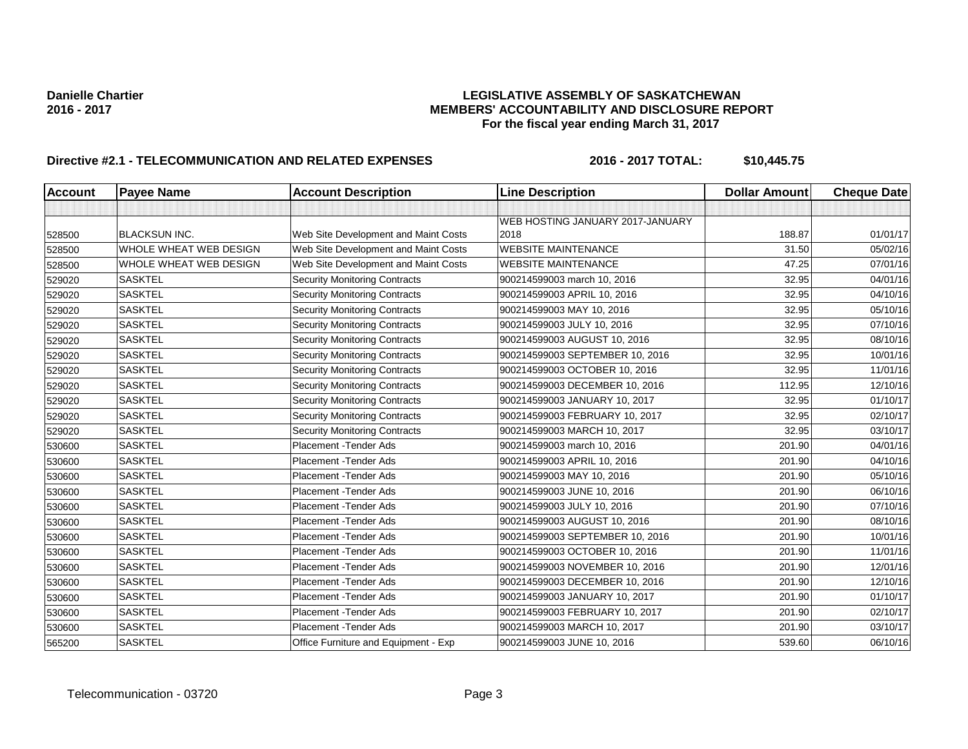### Danielle Chartier<br>**Danielle Chartier LEGISLATIVE ASSEMBLY OF SASKATCHEWAN**<br>MEMBERS' ACCOUNTABILITY AND DISCLOSURE REF **MEMBERS' ACCOUNTABILITY AND DISCLOSURE REPORT For the fiscal year ending March 31, 2017**

| <b>Account</b> | <b>Payee Name</b>      | <b>Account Description</b>           | <b>Line Description</b>          | <b>Dollar Amount</b> | <b>Cheque Date</b> |
|----------------|------------------------|--------------------------------------|----------------------------------|----------------------|--------------------|
|                |                        |                                      |                                  |                      |                    |
|                |                        |                                      | WEB HOSTING JANUARY 2017-JANUARY |                      |                    |
| 528500         | BLACKSUN INC.          | Web Site Development and Maint Costs | 2018                             | 188.87               | 01/01/17           |
| 528500         | WHOLE WHEAT WEB DESIGN | Web Site Development and Maint Costs | <b>WEBSITE MAINTENANCE</b>       | 31.50                | 05/02/16           |
| 528500         | WHOLE WHEAT WEB DESIGN | Web Site Development and Maint Costs | <b>WEBSITE MAINTENANCE</b>       | 47.25                | 07/01/16           |
| 529020         | <b>SASKTEL</b>         | <b>Security Monitoring Contracts</b> | 900214599003 march 10, 2016      | 32.95                | 04/01/16           |
| 529020         | <b>SASKTEL</b>         | <b>Security Monitoring Contracts</b> | 900214599003 APRIL 10, 2016      | 32.95                | 04/10/16           |
| 529020         | <b>SASKTEL</b>         | <b>Security Monitoring Contracts</b> | 900214599003 MAY 10, 2016        | 32.95                | 05/10/16           |
| 529020         | <b>SASKTEL</b>         | <b>Security Monitoring Contracts</b> | 900214599003 JULY 10, 2016       | 32.95                | 07/10/16           |
| 529020         | <b>SASKTEL</b>         | <b>Security Monitoring Contracts</b> | 900214599003 AUGUST 10, 2016     | 32.95                | 08/10/16           |
| 529020         | <b>SASKTEL</b>         | <b>Security Monitoring Contracts</b> | 900214599003 SEPTEMBER 10, 2016  | 32.95                | 10/01/16           |
| 529020         | <b>SASKTEL</b>         | <b>Security Monitoring Contracts</b> | 900214599003 OCTOBER 10, 2016    | 32.95                | 11/01/16           |
| 529020         | <b>SASKTEL</b>         | <b>Security Monitoring Contracts</b> | 900214599003 DECEMBER 10, 2016   | 112.95               | 12/10/16           |
| 529020         | <b>SASKTEL</b>         | <b>Security Monitoring Contracts</b> | 900214599003 JANUARY 10, 2017    | 32.95                | 01/10/17           |
| 529020         | <b>SASKTEL</b>         | <b>Security Monitoring Contracts</b> | 900214599003 FEBRUARY 10, 2017   | 32.95                | 02/10/17           |
| 529020         | <b>SASKTEL</b>         | <b>Security Monitoring Contracts</b> | 900214599003 MARCH 10, 2017      | 32.95                | 03/10/17           |
| 530600         | <b>SASKTEL</b>         | Placement - Tender Ads               | 900214599003 march 10, 2016      | 201.90               | 04/01/16           |
| 530600         | <b>SASKTEL</b>         | Placement - Tender Ads               | 900214599003 APRIL 10, 2016      | 201.90               | 04/10/16           |
| 530600         | <b>SASKTEL</b>         | Placement - Tender Ads               | 900214599003 MAY 10, 2016        | 201.90               | 05/10/16           |
| 530600         | <b>SASKTEL</b>         | Placement - Tender Ads               | 900214599003 JUNE 10, 2016       | 201.90               | 06/10/16           |
| 530600         | <b>SASKTEL</b>         | Placement - Tender Ads               | 900214599003 JULY 10, 2016       | 201.90               | 07/10/16           |
| 530600         | <b>SASKTEL</b>         | Placement - Tender Ads               | 900214599003 AUGUST 10, 2016     | 201.90               | 08/10/16           |
| 530600         | <b>SASKTEL</b>         | Placement - Tender Ads               | 900214599003 SEPTEMBER 10, 2016  | 201.90               | 10/01/16           |
| 530600         | <b>SASKTEL</b>         | Placement - Tender Ads               | 900214599003 OCTOBER 10, 2016    | 201.90               | 11/01/16           |
| 530600         | <b>SASKTEL</b>         | Placement - Tender Ads               | 900214599003 NOVEMBER 10, 2016   | 201.90               | 12/01/16           |
| 530600         | <b>SASKTEL</b>         | Placement - Tender Ads               | 900214599003 DECEMBER 10, 2016   | 201.90               | 12/10/16           |
| 530600         | <b>SASKTEL</b>         | Placement - Tender Ads               | 900214599003 JANUARY 10, 2017    | 201.90               | 01/10/17           |
| 530600         | <b>SASKTEL</b>         | Placement - Tender Ads               | 900214599003 FEBRUARY 10, 2017   | 201.90               | 02/10/17           |
| 530600         | <b>SASKTEL</b>         | Placement - Tender Ads               | 900214599003 MARCH 10, 2017      | 201.90               | 03/10/17           |
| 565200         | <b>SASKTEL</b>         | Office Furniture and Equipment - Exp | 900214599003 JUNE 10, 2016       | 539.60               | 06/10/16           |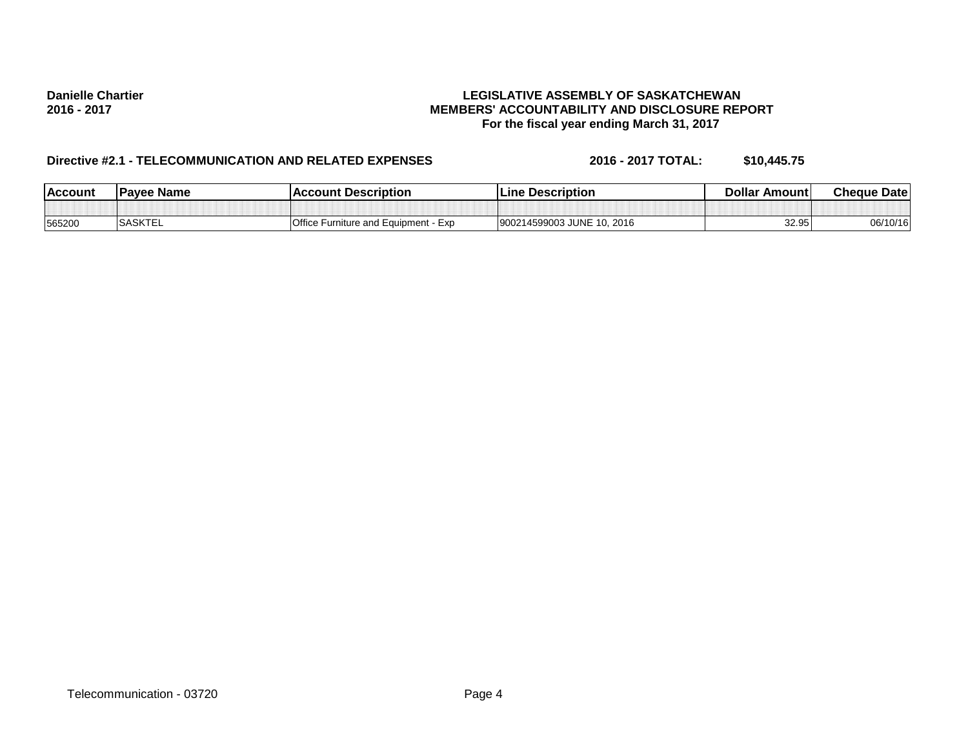### Danielle Chartier<br>**Danielle Chartier LEGISLATIVE ASSEMBLY OF SASKATCHEWAN**<br>MEMBERS' ACCOUNTABILITY AND DISCLOSURE REF **2016 - 2017 MEMBERS' ACCOUNTABILITY AND DISCLOSURE REPORT For the fiscal year ending March 31, 2017**

| <b>Account</b> | <b>IPavee Name</b> | <b>Account Description</b>                  | Line Description                 | Dollar Amount | <b>Cheque Date</b> |
|----------------|--------------------|---------------------------------------------|----------------------------------|---------------|--------------------|
|                |                    |                                             |                                  |               |                    |
| 565200         | <b>SASKTEL</b>     | <b>Office Furniture and Equipment - Exp</b> | 900214599003 JUNE 10.<br>10.2016 | 32.95         | 06/10/16           |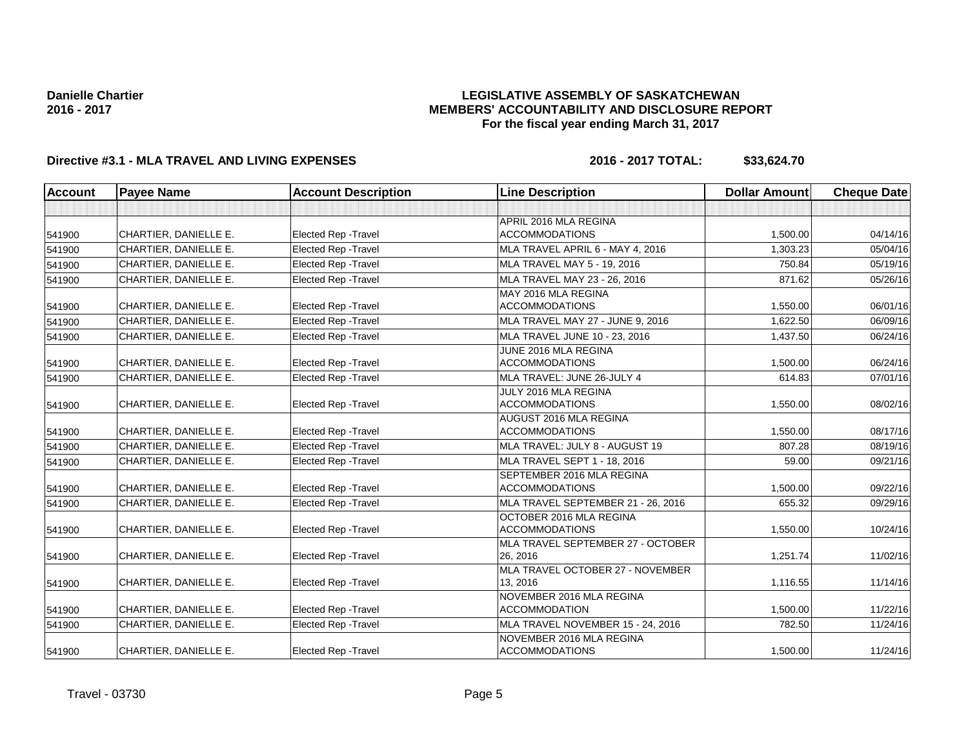### **LEGISLATIVE ASSEMBLY OF SASKATCHEWAN MEMBERS' ACCOUNTABILITY AND DISCLOSURE REPORT For the fiscal year ending March 31, 2017**

# **Directive #3.1 - MLA TRAVEL AND LIVING EXPENSES 2016 - 2017 TOTAL: \$33,624.70**

| <b>Account</b> | <b>Payee Name</b>     | <b>Account Description</b>  | <b>Line Description</b>            | <b>Dollar Amount</b> | <b>Cheque Date</b> |
|----------------|-----------------------|-----------------------------|------------------------------------|----------------------|--------------------|
|                |                       |                             |                                    |                      |                    |
|                |                       |                             | APRIL 2016 MLA REGINA              |                      |                    |
| 541900         | CHARTIER, DANIELLE E. | <b>Elected Rep - Travel</b> | <b>ACCOMMODATIONS</b>              | 1,500.00             | 04/14/16           |
| 541900         | CHARTIER, DANIELLE E. | <b>Elected Rep - Travel</b> | MLA TRAVEL APRIL 6 - MAY 4, 2016   | 1.303.23             | 05/04/16           |
| 541900         | CHARTIER, DANIELLE E. | <b>Elected Rep - Travel</b> | MLA TRAVEL MAY 5 - 19, 2016        | 750.84               | 05/19/16           |
| 541900         | CHARTIER, DANIELLE E. | <b>Elected Rep - Travel</b> | MLA TRAVEL MAY 23 - 26, 2016       | 871.62               | 05/26/16           |
|                |                       |                             | MAY 2016 MLA REGINA                |                      |                    |
| 541900         | CHARTIER, DANIELLE E. | <b>Elected Rep - Travel</b> | <b>ACCOMMODATIONS</b>              | 1,550.00             | 06/01/16           |
| 541900         | CHARTIER, DANIELLE E. | <b>Elected Rep - Travel</b> | MLA TRAVEL MAY 27 - JUNE 9, 2016   | 1,622.50             | 06/09/16           |
| 541900         | CHARTIER, DANIELLE E. | <b>Elected Rep - Travel</b> | MLA TRAVEL JUNE 10 - 23, 2016      | 1,437.50             | 06/24/16           |
|                |                       |                             | JUNE 2016 MLA REGINA               |                      |                    |
| 541900         | CHARTIER, DANIELLE E. | <b>Elected Rep - Travel</b> | <b>ACCOMMODATIONS</b>              | 1.500.00             | 06/24/16           |
| 541900         | CHARTIER, DANIELLE E. | <b>Elected Rep - Travel</b> | MLA TRAVEL: JUNE 26-JULY 4         | 614.83               | 07/01/16           |
|                |                       |                             | JULY 2016 MLA REGINA               |                      |                    |
| 541900         | CHARTIER, DANIELLE E. | <b>Elected Rep - Travel</b> | <b>ACCOMMODATIONS</b>              | 1,550.00             | 08/02/16           |
|                |                       |                             | AUGUST 2016 MLA REGINA             |                      |                    |
| 541900         | CHARTIER, DANIELLE E. | Elected Rep - Travel        | <b>ACCOMMODATIONS</b>              | 1,550.00             | 08/17/16           |
| 541900         | CHARTIER, DANIELLE E. | <b>Elected Rep - Travel</b> | MLA TRAVEL: JULY 8 - AUGUST 19     | 807.28               | 08/19/16           |
| 541900         | CHARTIER, DANIELLE E. | <b>Elected Rep - Travel</b> | MLA TRAVEL SEPT 1 - 18, 2016       | 59.00                | 09/21/16           |
|                |                       |                             | SEPTEMBER 2016 MLA REGINA          |                      |                    |
| 541900         | CHARTIER, DANIELLE E. | Elected Rep - Travel        | <b>ACCOMMODATIONS</b>              | 1,500.00             | 09/22/16           |
| 541900         | CHARTIER, DANIELLE E. | <b>Elected Rep - Travel</b> | MLA TRAVEL SEPTEMBER 21 - 26, 2016 | 655.32               | 09/29/16           |
|                |                       |                             | OCTOBER 2016 MLA REGINA            |                      |                    |
| 541900         | CHARTIER, DANIELLE E. | <b>Elected Rep - Travel</b> | <b>ACCOMMODATIONS</b>              | 1,550.00             | 10/24/16           |
|                |                       |                             | MLA TRAVEL SEPTEMBER 27 - OCTOBER  |                      |                    |
| 541900         | CHARTIER, DANIELLE E. | <b>Elected Rep - Travel</b> | 26, 2016                           | 1,251.74             | 11/02/16           |
|                |                       |                             | MLA TRAVEL OCTOBER 27 - NOVEMBER   |                      |                    |
| 541900         | CHARTIER, DANIELLE E. | Elected Rep - Travel        | 13, 2016                           | 1,116.55             | 11/14/16           |
|                |                       |                             | NOVEMBER 2016 MLA REGINA           |                      |                    |
| 541900         | CHARTIER, DANIELLE E. | <b>Elected Rep - Travel</b> | <b>ACCOMMODATION</b>               | 1.500.00             | 11/22/16           |
| 541900         | CHARTIER, DANIELLE E. | <b>Elected Rep - Travel</b> | MLA TRAVEL NOVEMBER 15 - 24, 2016  | 782.50               | 11/24/16           |
|                |                       |                             | NOVEMBER 2016 MLA REGINA           |                      |                    |
| 541900         | CHARTIER, DANIELLE E. | <b>Elected Rep - Travel</b> | <b>ACCOMMODATIONS</b>              | 1,500.00             | 11/24/16           |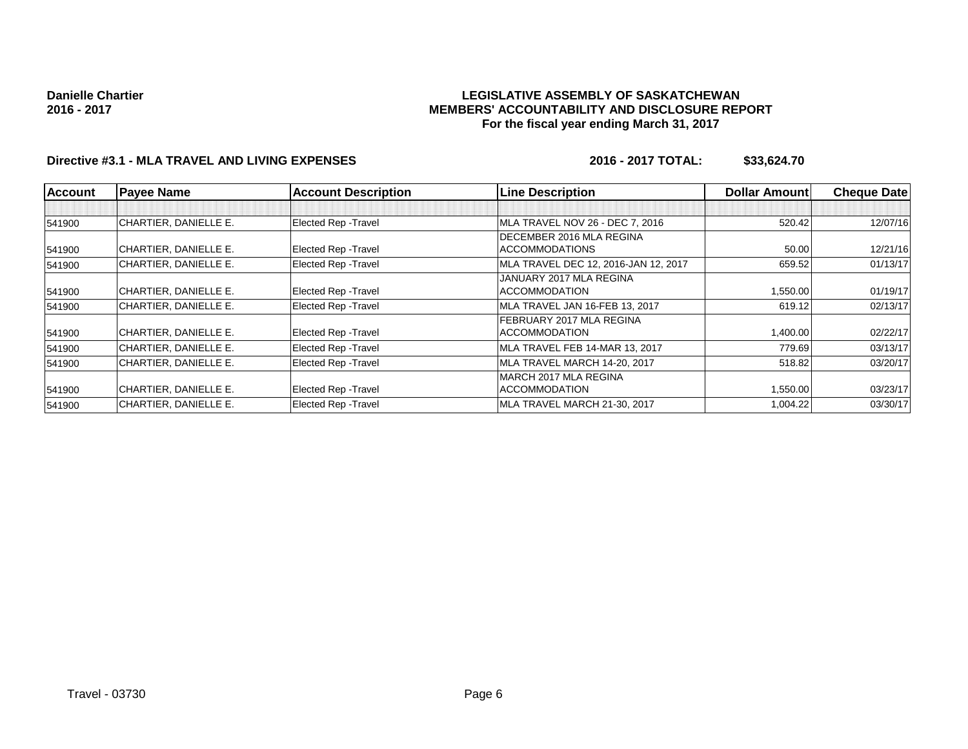### **LEGISLATIVE ASSEMBLY OF SASKATCHEWAN MEMBERS' ACCOUNTABILITY AND DISCLOSURE REPORT For the fiscal year ending March 31, 2017**

# **Directive #3.1 - MLA TRAVEL AND LIVING EXPENSES 2016 - 2017 TOTAL: \$33,624.70**

| <b>Account</b> | <b>Payee Name</b>     | <b>Account Description</b>  | <b>Line Description</b>              | <b>Dollar Amountl</b> | <b>Cheque Date</b> |
|----------------|-----------------------|-----------------------------|--------------------------------------|-----------------------|--------------------|
|                |                       |                             |                                      |                       |                    |
| 541900         | CHARTIER, DANIELLE E. | <b>Elected Rep - Travel</b> | MLA TRAVEL NOV 26 - DEC 7, 2016      | 520.42                | 12/07/16           |
|                |                       |                             | DECEMBER 2016 MLA REGINA             |                       |                    |
| 541900         | CHARTIER, DANIELLE E. | <b>Elected Rep - Travel</b> | <b>ACCOMMODATIONS</b>                | 50.00                 | 12/21/16           |
| 541900         | CHARTIER, DANIELLE E. | <b>Elected Rep - Travel</b> | MLA TRAVEL DEC 12, 2016-JAN 12, 2017 | 659.52                | 01/13/17           |
|                |                       |                             | JANUARY 2017 MLA REGINA              |                       |                    |
| 541900         | CHARTIER, DANIELLE E. | <b>Elected Rep - Travel</b> | <b>ACCOMMODATION</b>                 | 1,550.00              | 01/19/17           |
| 541900         | CHARTIER, DANIELLE E. | <b>Elected Rep - Travel</b> | MLA TRAVEL JAN 16-FEB 13, 2017       | 619.12                | 02/13/17           |
|                |                       |                             | FEBRUARY 2017 MLA REGINA             |                       |                    |
| 541900         | CHARTIER, DANIELLE E. | <b>Elected Rep - Travel</b> | <b>ACCOMMODATION</b>                 | 1,400.00              | 02/22/17           |
| 541900         | CHARTIER, DANIELLE E. | <b>Elected Rep - Travel</b> | MLA TRAVEL FEB 14-MAR 13, 2017       | 779.69                | 03/13/17           |
| 541900         | CHARTIER, DANIELLE E. | <b>Elected Rep - Travel</b> | MLA TRAVEL MARCH 14-20, 2017         | 518.82                | 03/20/17           |
|                |                       |                             | IMARCH 2017 MLA REGINA               |                       |                    |
| 541900         | CHARTIER, DANIELLE E. | <b>Elected Rep - Travel</b> | <b>ACCOMMODATION</b>                 | 1,550.00              | 03/23/17           |
| 541900         | CHARTIER, DANIELLE E. | <b>Elected Rep - Travel</b> | MLA TRAVEL MARCH 21-30, 2017         | 1,004.22              | 03/30/17           |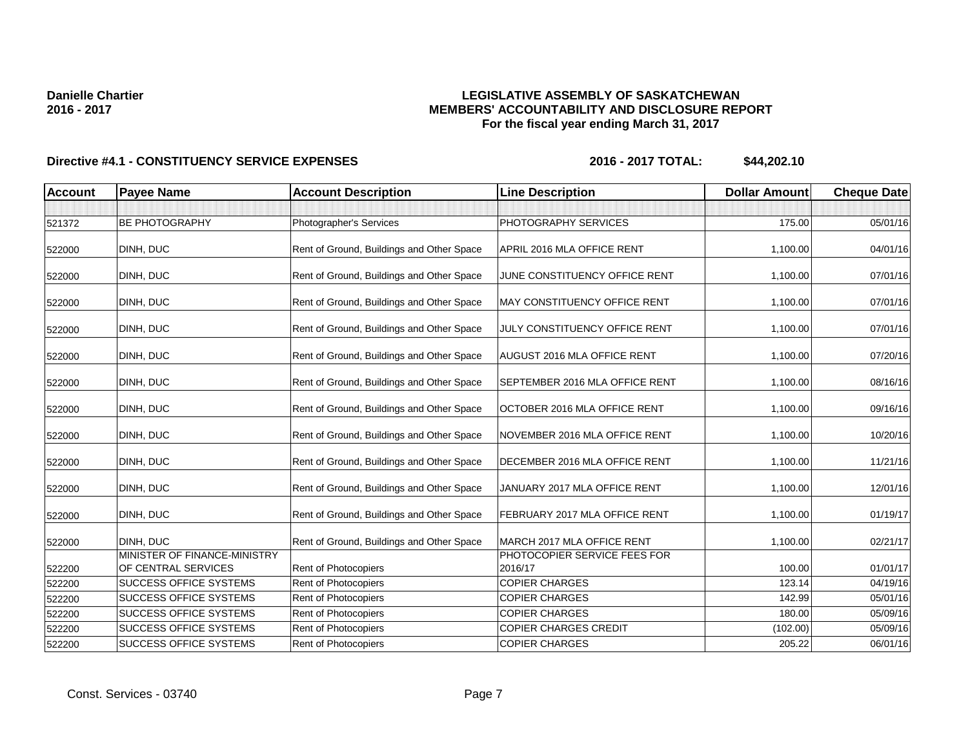### **LEGISLATIVE ASSEMBLY OF SASKATCHEWAN MEMBERS' ACCOUNTABILITY AND DISCLOSURE REPORT For the fiscal year ending March 31, 2017**

| <b>Account</b> | <b>Payee Name</b>                                   | <b>Account Description</b>                | <b>Line Description</b>                 | <b>Dollar Amount</b> | <b>Cheque Date</b> |
|----------------|-----------------------------------------------------|-------------------------------------------|-----------------------------------------|----------------------|--------------------|
|                |                                                     |                                           |                                         |                      |                    |
| 521372         | BE PHOTOGRAPHY                                      | Photographer's Services                   | PHOTOGRAPHY SERVICES                    | 175.00               | 05/01/16           |
| 522000         | DINH, DUC                                           | Rent of Ground, Buildings and Other Space | APRIL 2016 MLA OFFICE RENT              | 1,100.00             | 04/01/16           |
| 522000         | DINH, DUC                                           | Rent of Ground, Buildings and Other Space | JUNE CONSTITUENCY OFFICE RENT           | 1,100.00             | 07/01/16           |
| 522000         | DINH, DUC                                           | Rent of Ground, Buildings and Other Space | <b>MAY CONSTITUENCY OFFICE RENT</b>     | 1,100.00             | 07/01/16           |
| 522000         | DINH, DUC                                           | Rent of Ground, Buildings and Other Space | JULY CONSTITUENCY OFFICE RENT           | 1,100.00             | 07/01/16           |
| 522000         | DINH, DUC                                           | Rent of Ground, Buildings and Other Space | AUGUST 2016 MLA OFFICE RENT             | 1,100.00             | 07/20/16           |
| 522000         | DINH, DUC                                           | Rent of Ground, Buildings and Other Space | SEPTEMBER 2016 MLA OFFICE RENT          | 1,100.00             | 08/16/16           |
| 522000         | DINH, DUC                                           | Rent of Ground, Buildings and Other Space | OCTOBER 2016 MLA OFFICE RENT            | 1,100.00             | 09/16/16           |
| 522000         | DINH, DUC                                           | Rent of Ground, Buildings and Other Space | NOVEMBER 2016 MLA OFFICE RENT           | 1,100.00             | 10/20/16           |
| 522000         | DINH, DUC                                           | Rent of Ground, Buildings and Other Space | DECEMBER 2016 MLA OFFICE RENT           | 1,100.00             | 11/21/16           |
| 522000         | DINH, DUC                                           | Rent of Ground, Buildings and Other Space | JANUARY 2017 MLA OFFICE RENT            | 1,100.00             | 12/01/16           |
| 522000         | DINH, DUC                                           | Rent of Ground, Buildings and Other Space | FEBRUARY 2017 MLA OFFICE RENT           | 1,100.00             | 01/19/17           |
| 522000         | DINH, DUC                                           | Rent of Ground, Buildings and Other Space | MARCH 2017 MLA OFFICE RENT              | 1,100.00             | 02/21/17           |
| 522200         | MINISTER OF FINANCE-MINISTRY<br>OF CENTRAL SERVICES | Rent of Photocopiers                      | PHOTOCOPIER SERVICE FEES FOR<br>2016/17 | 100.00               | 01/01/17           |
| 522200         | <b>SUCCESS OFFICE SYSTEMS</b>                       | <b>Rent of Photocopiers</b>               | <b>COPIER CHARGES</b>                   | 123.14               | 04/19/16           |
| 522200         | <b>SUCCESS OFFICE SYSTEMS</b>                       | Rent of Photocopiers                      | <b>COPIER CHARGES</b>                   | 142.99               | 05/01/16           |
| 522200         | SUCCESS OFFICE SYSTEMS                              | Rent of Photocopiers                      | <b>COPIER CHARGES</b>                   | 180.00               | 05/09/16           |
| 522200         | <b>SUCCESS OFFICE SYSTEMS</b>                       | Rent of Photocopiers                      | <b>COPIER CHARGES CREDIT</b>            | (102.00)             | 05/09/16           |
| 522200         | <b>SUCCESS OFFICE SYSTEMS</b>                       | Rent of Photocopiers                      | <b>COPIER CHARGES</b>                   | 205.22               | 06/01/16           |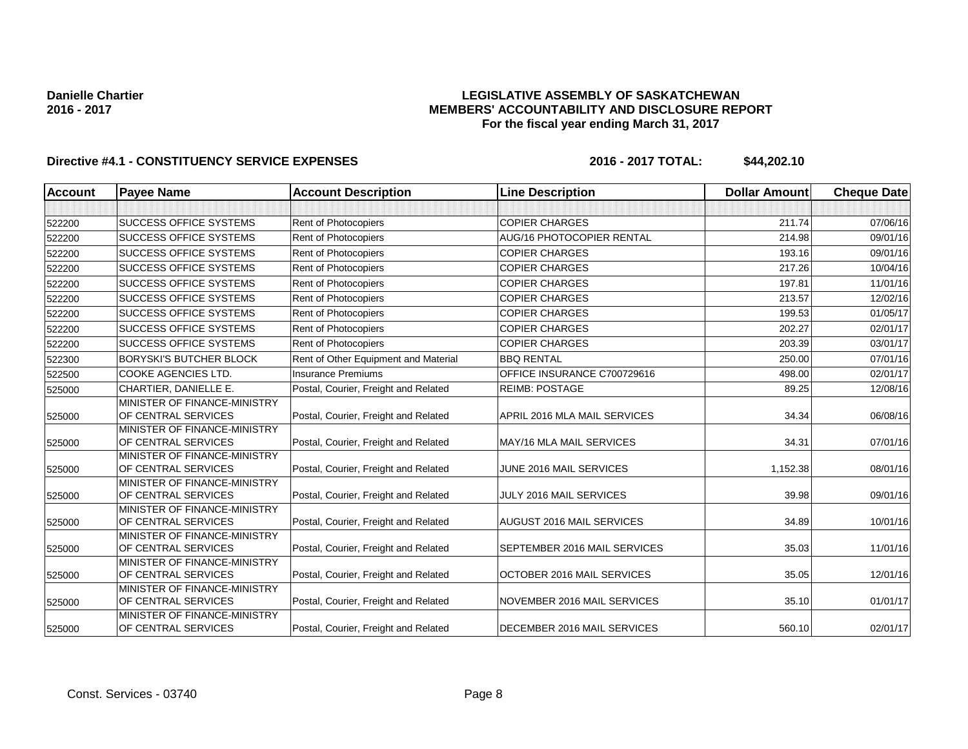### **LEGISLATIVE ASSEMBLY OF SASKATCHEWAN MEMBERS' ACCOUNTABILITY AND DISCLOSURE REPORT For the fiscal year ending March 31, 2017**

| <b>Account</b> | <b>Payee Name</b>                                   | <b>Account Description</b>           | <b>Line Description</b>          | <b>Dollar Amount</b> | <b>Cheque Date</b> |
|----------------|-----------------------------------------------------|--------------------------------------|----------------------------------|----------------------|--------------------|
|                |                                                     |                                      |                                  |                      |                    |
| 522200         | <b>SUCCESS OFFICE SYSTEMS</b>                       | Rent of Photocopiers                 | <b>COPIER CHARGES</b>            | 211.74               | 07/06/16           |
| 522200         | <b>SUCCESS OFFICE SYSTEMS</b>                       | <b>Rent of Photocopiers</b>          | <b>AUG/16 PHOTOCOPIER RENTAL</b> | 214.98               | 09/01/16           |
| 522200         | <b>SUCCESS OFFICE SYSTEMS</b>                       | <b>Rent of Photocopiers</b>          | <b>COPIER CHARGES</b>            | 193.16               | 09/01/16           |
| 522200         | <b>SUCCESS OFFICE SYSTEMS</b>                       | <b>Rent of Photocopiers</b>          | <b>COPIER CHARGES</b>            | 217.26               | 10/04/16           |
| 522200         | <b>SUCCESS OFFICE SYSTEMS</b>                       | Rent of Photocopiers                 | <b>COPIER CHARGES</b>            | 197.81               | 11/01/16           |
| 522200         | <b>SUCCESS OFFICE SYSTEMS</b>                       | <b>Rent of Photocopiers</b>          | <b>COPIER CHARGES</b>            | 213.57               | 12/02/16           |
| 522200         | <b>SUCCESS OFFICE SYSTEMS</b>                       | <b>Rent of Photocopiers</b>          | <b>COPIER CHARGES</b>            | 199.53               | 01/05/17           |
| 522200         | <b>SUCCESS OFFICE SYSTEMS</b>                       | <b>Rent of Photocopiers</b>          | <b>COPIER CHARGES</b>            | 202.27               | 02/01/17           |
| 522200         | <b>SUCCESS OFFICE SYSTEMS</b>                       | <b>Rent of Photocopiers</b>          | <b>COPIER CHARGES</b>            | 203.39               | 03/01/17           |
| 522300         | <b>BORYSKI'S BUTCHER BLOCK</b>                      | Rent of Other Equipment and Material | <b>BBQ RENTAL</b>                | 250.00               | 07/01/16           |
| 522500         | <b>COOKE AGENCIES LTD.</b>                          | <b>Insurance Premiums</b>            | OFFICE INSURANCE C700729616      | 498.00               | 02/01/17           |
| 525000         | CHARTIER, DANIELLE E.                               | Postal, Courier, Freight and Related | <b>REIMB: POSTAGE</b>            | 89.25                | 12/08/16           |
|                | MINISTER OF FINANCE-MINISTRY                        |                                      |                                  |                      |                    |
| 525000         | OF CENTRAL SERVICES                                 | Postal, Courier, Freight and Related | APRIL 2016 MLA MAIL SERVICES     | 34.34                | 06/08/16           |
| 525000         | MINISTER OF FINANCE-MINISTRY<br>OF CENTRAL SERVICES | Postal, Courier, Freight and Related | MAY/16 MLA MAIL SERVICES         | 34.31                | 07/01/16           |
| 525000         | MINISTER OF FINANCE-MINISTRY<br>OF CENTRAL SERVICES | Postal, Courier, Freight and Related | JUNE 2016 MAIL SERVICES          | 1,152.38             | 08/01/16           |
| 525000         | MINISTER OF FINANCE-MINISTRY<br>OF CENTRAL SERVICES | Postal, Courier, Freight and Related | JULY 2016 MAIL SERVICES          | 39.98                | 09/01/16           |
| 525000         | MINISTER OF FINANCE-MINISTRY<br>OF CENTRAL SERVICES | Postal, Courier, Freight and Related | <b>AUGUST 2016 MAIL SERVICES</b> | 34.89                | 10/01/16           |
| 525000         | MINISTER OF FINANCE-MINISTRY<br>OF CENTRAL SERVICES | Postal, Courier, Freight and Related | SEPTEMBER 2016 MAIL SERVICES     | 35.03                | 11/01/16           |
| 525000         | MINISTER OF FINANCE-MINISTRY<br>OF CENTRAL SERVICES | Postal, Courier, Freight and Related | OCTOBER 2016 MAIL SERVICES       | 35.05                | 12/01/16           |
| 525000         | MINISTER OF FINANCE-MINISTRY<br>OF CENTRAL SERVICES | Postal, Courier, Freight and Related | NOVEMBER 2016 MAIL SERVICES      | 35.10                | 01/01/17           |
| 525000         | MINISTER OF FINANCE-MINISTRY<br>OF CENTRAL SERVICES | Postal, Courier, Freight and Related | DECEMBER 2016 MAIL SERVICES      | 560.10               | 02/01/17           |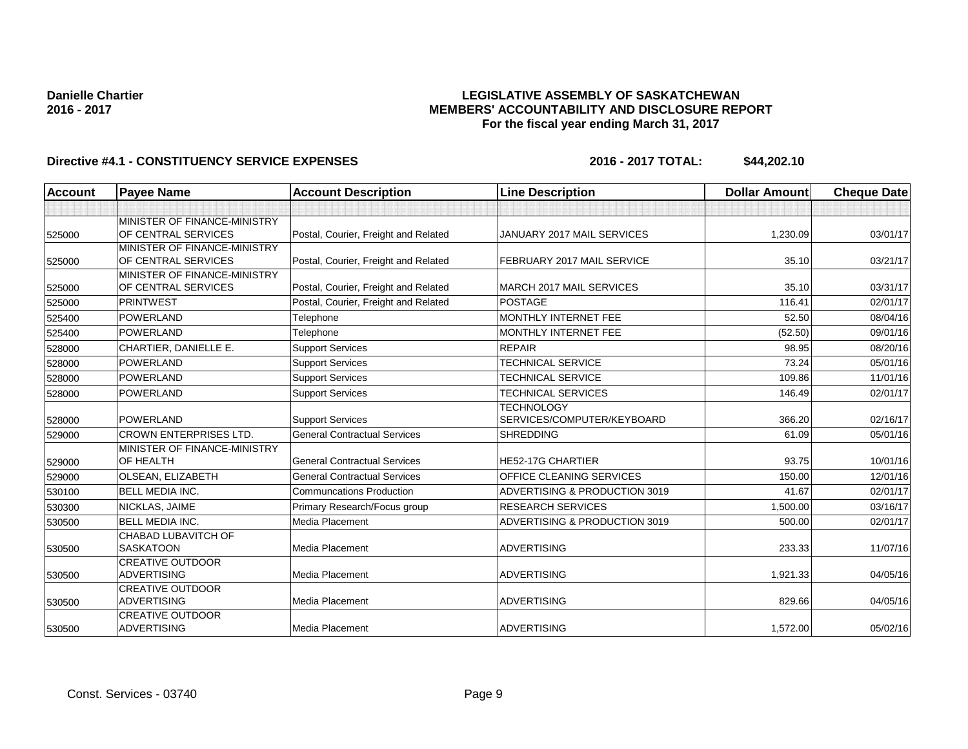### **LEGISLATIVE ASSEMBLY OF SASKATCHEWAN MEMBERS' ACCOUNTABILITY AND DISCLOSURE REPORT For the fiscal year ending March 31, 2017**

| <b>Account</b> | <b>Payee Name</b>                                   | <b>Account Description</b>           | <b>Line Description</b>                         | <b>Dollar Amount</b> | <b>Cheque Date</b> |
|----------------|-----------------------------------------------------|--------------------------------------|-------------------------------------------------|----------------------|--------------------|
|                |                                                     |                                      |                                                 |                      |                    |
| 525000         | MINISTER OF FINANCE-MINISTRY<br>OF CENTRAL SERVICES | Postal, Courier, Freight and Related | JANUARY 2017 MAIL SERVICES                      | 1,230.09             | 03/01/17           |
| 525000         | MINISTER OF FINANCE-MINISTRY<br>OF CENTRAL SERVICES | Postal, Courier, Freight and Related | FEBRUARY 2017 MAIL SERVICE                      | 35.10                | 03/21/17           |
| 525000         | MINISTER OF FINANCE-MINISTRY<br>OF CENTRAL SERVICES | Postal, Courier, Freight and Related | <b>MARCH 2017 MAIL SERVICES</b>                 | 35.10                | 03/31/17           |
| 525000         | <b>PRINTWEST</b>                                    | Postal, Courier, Freight and Related | <b>POSTAGE</b>                                  | 116.41               | 02/01/17           |
| 525400         | <b>POWERLAND</b>                                    | Telephone                            | MONTHLY INTERNET FEE                            | 52.50                | 08/04/16           |
| 525400         | POWERLAND                                           | Telephone                            | MONTHLY INTERNET FEE                            | (52.50)              | 09/01/16           |
| 528000         | CHARTIER, DANIELLE E.                               | <b>Support Services</b>              | <b>REPAIR</b>                                   | 98.95                | 08/20/16           |
| 528000         | POWERLAND                                           | <b>Support Services</b>              | <b>TECHNICAL SERVICE</b>                        | 73.24                | 05/01/16           |
| 528000         | <b>POWERLAND</b>                                    | <b>Support Services</b>              | <b>TECHNICAL SERVICE</b>                        | 109.86               | 11/01/16           |
| 528000         | POWERLAND                                           | <b>Support Services</b>              | <b>TECHNICAL SERVICES</b>                       | 146.49               | 02/01/17           |
| 528000         | <b>POWERLAND</b>                                    | <b>Support Services</b>              | <b>TECHNOLOGY</b><br>SERVICES/COMPUTER/KEYBOARD | 366.20               | 02/16/17           |
| 529000         | <b>CROWN ENTERPRISES LTD.</b>                       | <b>General Contractual Services</b>  | <b>SHREDDING</b>                                | 61.09                | 05/01/16           |
| 529000         | MINISTER OF FINANCE-MINISTRY<br>OF HEALTH           | <b>General Contractual Services</b>  | HE52-17G CHARTIER                               | 93.75                | 10/01/16           |
| 529000         | OLSEAN, ELIZABETH                                   | <b>General Contractual Services</b>  | OFFICE CLEANING SERVICES                        | 150.00               | 12/01/16           |
| 530100         | <b>BELL MEDIA INC.</b>                              | <b>Communcations Production</b>      | ADVERTISING & PRODUCTION 3019                   | 41.67                | 02/01/17           |
| 530300         | NICKLAS, JAIME                                      | Primary Research/Focus group         | <b>RESEARCH SERVICES</b>                        | 1,500.00             | 03/16/17           |
| 530500         | <b>BELL MEDIA INC.</b>                              | Media Placement                      | ADVERTISING & PRODUCTION 3019                   | 500.00               | 02/01/17           |
| 530500         | <b>CHABAD LUBAVITCH OF</b><br><b>SASKATOON</b>      | <b>Media Placement</b>               | <b>ADVERTISING</b>                              | 233.33               | 11/07/16           |
| 530500         | <b>CREATIVE OUTDOOR</b><br><b>ADVERTISING</b>       | Media Placement                      | <b>ADVERTISING</b>                              | 1,921.33             | 04/05/16           |
| 530500         | <b>CREATIVE OUTDOOR</b><br><b>ADVERTISING</b>       | <b>Media Placement</b>               | <b>ADVERTISING</b>                              | 829.66               | 04/05/16           |
| 530500         | <b>CREATIVE OUTDOOR</b><br><b>ADVERTISING</b>       | Media Placement                      | <b>ADVERTISING</b>                              | 1,572.00             | 05/02/16           |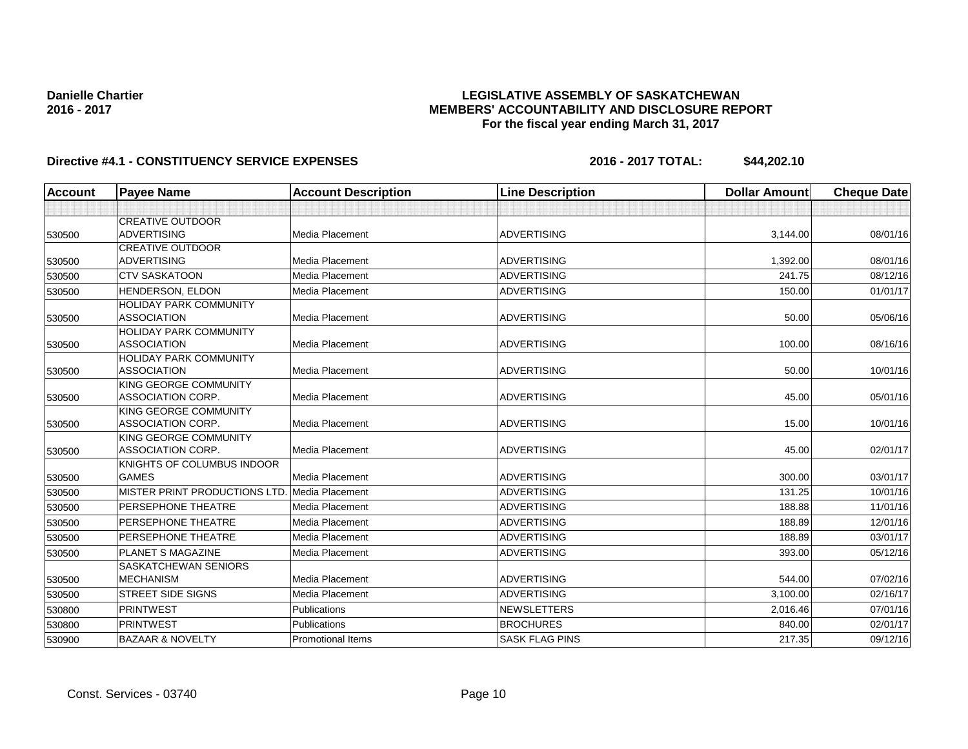### **LEGISLATIVE ASSEMBLY OF SASKATCHEWAN MEMBERS' ACCOUNTABILITY AND DISCLOSURE REPORT For the fiscal year ending March 31, 2017**

| <b>Account</b> | <b>Payee Name</b>                                 | <b>Account Description</b> | <b>Line Description</b> | <b>Dollar Amount</b> | <b>Cheque Date</b> |
|----------------|---------------------------------------------------|----------------------------|-------------------------|----------------------|--------------------|
|                |                                                   |                            |                         |                      |                    |
|                | <b>CREATIVE OUTDOOR</b>                           |                            |                         |                      |                    |
| 530500         | <b>ADVERTISING</b>                                | <b>Media Placement</b>     | <b>ADVERTISING</b>      | 3,144.00             | 08/01/16           |
|                | <b>CREATIVE OUTDOOR</b>                           |                            |                         |                      |                    |
| 530500         | <b>ADVERTISING</b>                                | Media Placement            | <b>ADVERTISING</b>      | 1,392.00             | 08/01/16           |
| 530500         | <b>CTV SASKATOON</b>                              | Media Placement            | <b>ADVERTISING</b>      | 241.75               | 08/12/16           |
| 530500         | HENDERSON, ELDON                                  | <b>Media Placement</b>     | <b>ADVERTISING</b>      | 150.00               | 01/01/17           |
|                | <b>HOLIDAY PARK COMMUNITY</b>                     |                            |                         |                      |                    |
| 530500         | <b>ASSOCIATION</b>                                | Media Placement            | <b>ADVERTISING</b>      | 50.00                | 05/06/16           |
|                | <b>HOLIDAY PARK COMMUNITY</b>                     |                            |                         |                      |                    |
| 530500         | <b>ASSOCIATION</b>                                | <b>Media Placement</b>     | <b>ADVERTISING</b>      | 100.00               | 08/16/16           |
|                | <b>HOLIDAY PARK COMMUNITY</b>                     |                            |                         |                      |                    |
| 530500         | <b>ASSOCIATION</b>                                | Media Placement            | <b>ADVERTISING</b>      | 50.00                | 10/01/16           |
|                | KING GEORGE COMMUNITY                             |                            |                         |                      |                    |
| 530500         | <b>ASSOCIATION CORP.</b>                          | <b>Media Placement</b>     | <b>ADVERTISING</b>      | 45.00                | 05/01/16           |
|                | KING GEORGE COMMUNITY<br><b>ASSOCIATION CORP.</b> | Media Placement            | <b>ADVERTISING</b>      | 15.00                | 10/01/16           |
| 530500         | KING GEORGE COMMUNITY                             |                            |                         |                      |                    |
| 530500         | <b>ASSOCIATION CORP.</b>                          | <b>Media Placement</b>     | <b>ADVERTISING</b>      | 45.00                | 02/01/17           |
|                | KNIGHTS OF COLUMBUS INDOOR                        |                            |                         |                      |                    |
| 530500         | <b>GAMES</b>                                      | Media Placement            | <b>ADVERTISING</b>      | 300.00               | 03/01/17           |
| 530500         | MISTER PRINT PRODUCTIONS LTD. Media Placement     |                            | <b>ADVERTISING</b>      | 131.25               | 10/01/16           |
| 530500         | <b>PERSEPHONE THEATRE</b>                         | <b>Media Placement</b>     | <b>ADVERTISING</b>      | 188.88               | 11/01/16           |
| 530500         | <b>PERSEPHONE THEATRE</b>                         | Media Placement            | <b>ADVERTISING</b>      | 188.89               | 12/01/16           |
| 530500         | PERSEPHONE THEATRE                                | Media Placement            | <b>ADVERTISING</b>      | 188.89               | 03/01/17           |
| 530500         | PLANET S MAGAZINE                                 | <b>Media Placement</b>     | <b>ADVERTISING</b>      | 393.00               | 05/12/16           |
|                | <b>SASKATCHEWAN SENIORS</b>                       |                            |                         |                      |                    |
| 530500         | <b>MECHANISM</b>                                  | Media Placement            | <b>ADVERTISING</b>      | 544.00               | 07/02/16           |
| 530500         | <b>STREET SIDE SIGNS</b>                          | <b>Media Placement</b>     | <b>ADVERTISING</b>      | 3,100.00             | 02/16/17           |
| 530800         | <b>PRINTWEST</b>                                  | Publications               | <b>NEWSLETTERS</b>      | 2,016.46             | 07/01/16           |
| 530800         | <b>PRINTWEST</b>                                  | Publications               | <b>BROCHURES</b>        | 840.00               | 02/01/17           |
| 530900         | <b>BAZAAR &amp; NOVELTY</b>                       | <b>Promotional Items</b>   | <b>SASK FLAG PINS</b>   | 217.35               | 09/12/16           |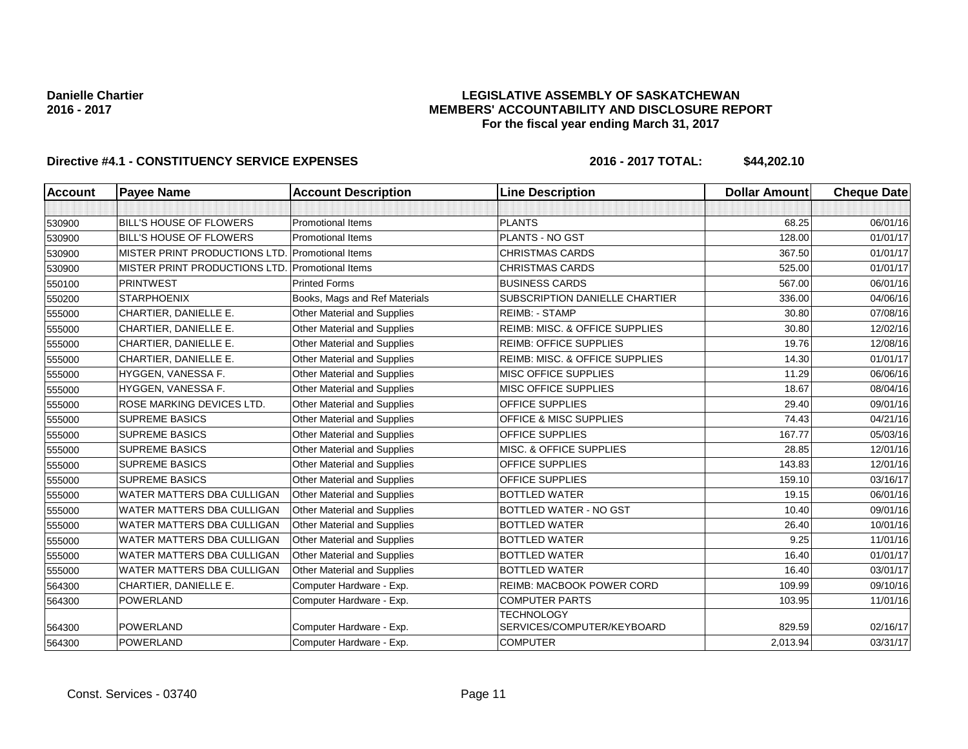### **LEGISLATIVE ASSEMBLY OF SASKATCHEWAN MEMBERS' ACCOUNTABILITY AND DISCLOSURE REPORT For the fiscal year ending March 31, 2017**

| <b>Account</b> | <b>Payee Name</b>                 | <b>Account Description</b>         | <b>Line Description</b>                         | <b>Dollar Amount</b> | <b>Cheque Date</b> |
|----------------|-----------------------------------|------------------------------------|-------------------------------------------------|----------------------|--------------------|
|                |                                   |                                    |                                                 |                      |                    |
| 530900         | <b>BILL'S HOUSE OF FLOWERS</b>    | <b>Promotional Items</b>           | <b>PLANTS</b>                                   | 68.25                | 06/01/16           |
| 530900         | <b>BILL'S HOUSE OF FLOWERS</b>    | <b>Promotional Items</b>           | PLANTS - NO GST                                 | 128.00               | 01/01/17           |
| 530900         | MISTER PRINT PRODUCTIONS LTD.     | Promotional Items                  | <b>CHRISTMAS CARDS</b>                          | 367.50               | 01/01/17           |
| 530900         | MISTER PRINT PRODUCTIONS LTD.     | <b>Promotional Items</b>           | <b>CHRISTMAS CARDS</b>                          | 525.00               | 01/01/17           |
| 550100         | <b>PRINTWEST</b>                  | <b>Printed Forms</b>               | <b>BUSINESS CARDS</b>                           | 567.00               | 06/01/16           |
| 550200         | <b>STARPHOENIX</b>                | Books, Mags and Ref Materials      | SUBSCRIPTION DANIELLE CHARTIER                  | 336.00               | 04/06/16           |
| 555000         | CHARTIER, DANIELLE E.             | Other Material and Supplies        | <b>REIMB: - STAMP</b>                           | 30.80                | 07/08/16           |
| 555000         | CHARTIER, DANIELLE E.             | <b>Other Material and Supplies</b> | REIMB: MISC. & OFFICE SUPPLIES                  | 30.80                | 12/02/16           |
| 555000         | CHARTIER, DANIELLE E.             | Other Material and Supplies        | <b>REIMB: OFFICE SUPPLIES</b>                   | 19.76                | 12/08/16           |
| 555000         | CHARTIER, DANIELLE E.             | Other Material and Supplies        | REIMB: MISC. & OFFICE SUPPLIES                  | 14.30                | 01/01/17           |
| 555000         | HYGGEN, VANESSA F.                | Other Material and Supplies        | <b>MISC OFFICE SUPPLIES</b>                     | 11.29                | 06/06/16           |
| 555000         | HYGGEN, VANESSA F.                | <b>Other Material and Supplies</b> | MISC OFFICE SUPPLIES                            | 18.67                | 08/04/16           |
| 555000         | ROSE MARKING DEVICES LTD.         | Other Material and Supplies        | OFFICE SUPPLIES                                 | 29.40                | 09/01/16           |
| 555000         | <b>SUPREME BASICS</b>             | <b>Other Material and Supplies</b> | OFFICE & MISC SUPPLIES                          | 74.43                | 04/21/16           |
| 555000         | <b>SUPREME BASICS</b>             | Other Material and Supplies        | OFFICE SUPPLIES                                 | 167.77               | 05/03/16           |
| 555000         | <b>SUPREME BASICS</b>             | <b>Other Material and Supplies</b> | MISC. & OFFICE SUPPLIES                         | 28.85                | 12/01/16           |
| 555000         | <b>SUPREME BASICS</b>             | Other Material and Supplies        | <b>OFFICE SUPPLIES</b>                          | 143.83               | 12/01/16           |
| 555000         | <b>SUPREME BASICS</b>             | <b>Other Material and Supplies</b> | <b>OFFICE SUPPLIES</b>                          | 159.10               | 03/16/17           |
| 555000         | WATER MATTERS DBA CULLIGAN        | <b>Other Material and Supplies</b> | <b>BOTTLED WATER</b>                            | 19.15                | 06/01/16           |
| 555000         | <b>WATER MATTERS DBA CULLIGAN</b> | Other Material and Supplies        | <b>BOTTLED WATER - NO GST</b>                   | 10.40                | 09/01/16           |
| 555000         | <b>WATER MATTERS DBA CULLIGAN</b> | <b>Other Material and Supplies</b> | <b>BOTTLED WATER</b>                            | 26.40                | 10/01/16           |
| 555000         | <b>WATER MATTERS DBA CULLIGAN</b> | Other Material and Supplies        | <b>BOTTLED WATER</b>                            | 9.25                 | 11/01/16           |
| 555000         | WATER MATTERS DBA CULLIGAN        | <b>Other Material and Supplies</b> | <b>BOTTLED WATER</b>                            | 16.40                | 01/01/17           |
| 555000         | WATER MATTERS DBA CULLIGAN        | Other Material and Supplies        | <b>BOTTLED WATER</b>                            | 16.40                | 03/01/17           |
| 564300         | CHARTIER, DANIELLE E.             | Computer Hardware - Exp.           | <b>REIMB: MACBOOK POWER CORD</b>                | 109.99               | 09/10/16           |
| 564300         | <b>POWERLAND</b>                  | Computer Hardware - Exp.           | <b>COMPUTER PARTS</b>                           | 103.95               | 11/01/16           |
| 564300         | <b>POWERLAND</b>                  | Computer Hardware - Exp.           | <b>TECHNOLOGY</b><br>SERVICES/COMPUTER/KEYBOARD | 829.59               | 02/16/17           |
| 564300         | <b>POWERLAND</b>                  | Computer Hardware - Exp.           | <b>COMPUTER</b>                                 | 2,013.94             | 03/31/17           |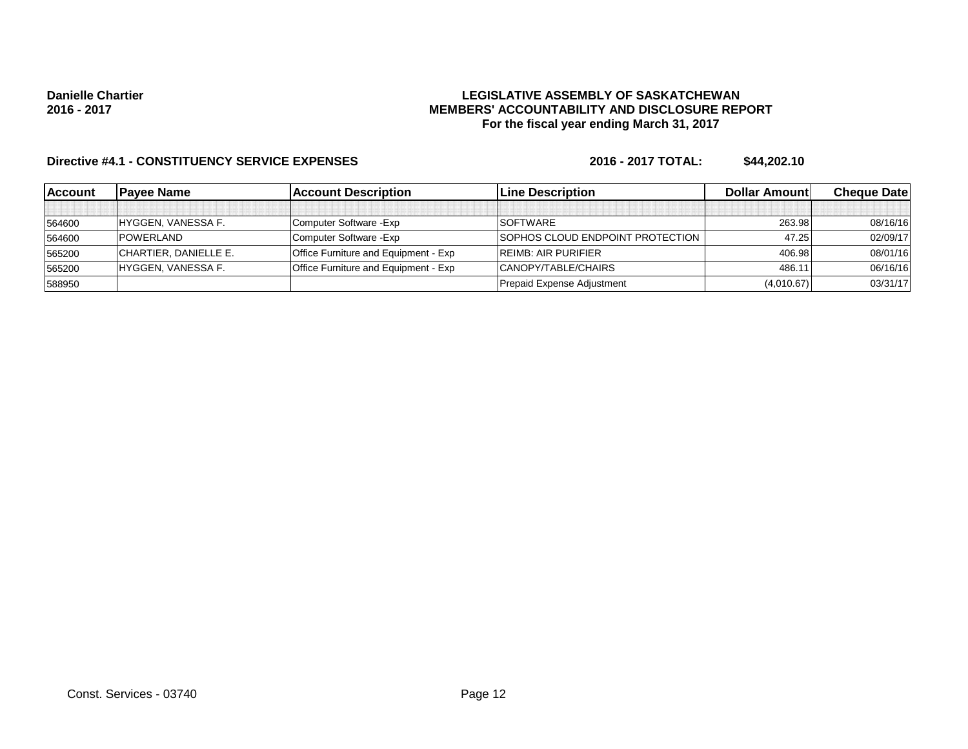### **LEGISLATIVE ASSEMBLY OF SASKATCHEWAN MEMBERS' ACCOUNTABILITY AND DISCLOSURE REPORT For the fiscal year ending March 31, 2017**

| <b>Account</b> | <b>Pavee Name</b>     | <b>Account Description</b>                  | <b>ILine Description</b>         | Dollar Amount | <b>Cheque Datel</b> |
|----------------|-----------------------|---------------------------------------------|----------------------------------|---------------|---------------------|
|                |                       |                                             |                                  |               |                     |
| 564600         | HYGGEN, VANESSA F.    | Computer Software - Exp                     | SOFTWARE                         | 263.98        | 08/16/16            |
| 564600         | <b>POWERLAND</b>      | Computer Software - Exp                     | SOPHOS CLOUD ENDPOINT PROTECTION | 47.25         | 02/09/17            |
| 565200         | CHARTIER, DANIELLE E. | <b>Office Furniture and Equipment - Exp</b> | <b>REIMB: AIR PURIFIER</b>       | 406.98        | 08/01/16            |
| 565200         | HYGGEN, VANESSA F.    | <b>Office Furniture and Equipment - Exp</b> | CANOPY/TABLE/CHAIRS              | 486.11        | 06/16/16            |
| 588950         |                       |                                             | Prepaid Expense Adjustment       | (4,010.67)    | 03/31/17            |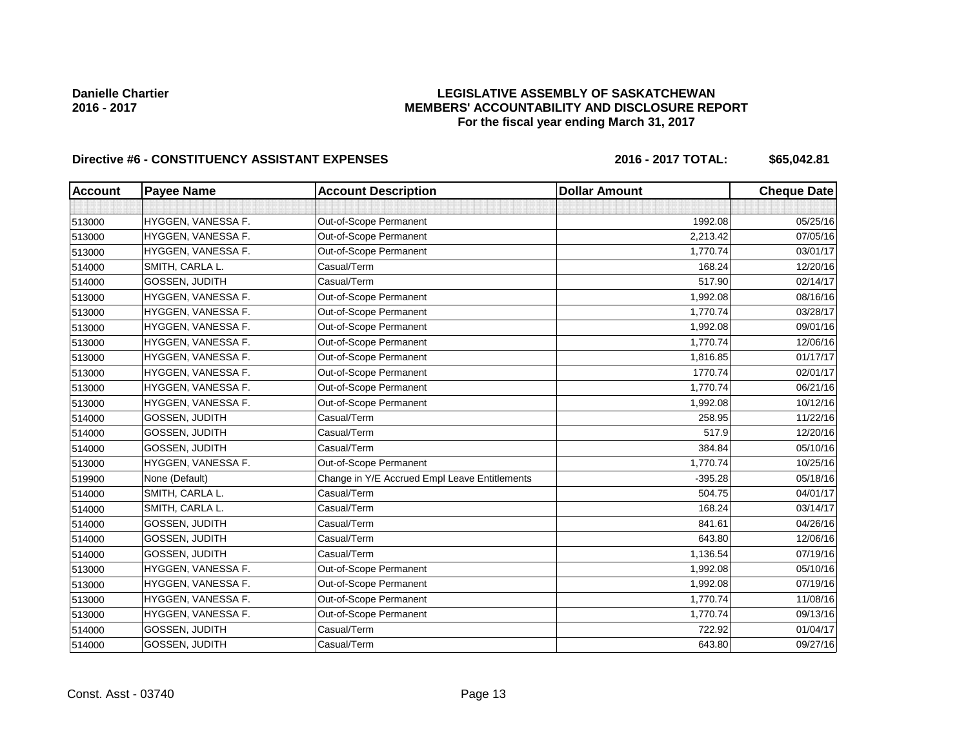### **LEGISLATIVE ASSEMBLY OF SASKATCHEWAN MEMBERS' ACCOUNTABILITY AND DISCLOSURE REPORT For the fiscal year ending March 31, 2017**

# Directive #6 - CONSTITUENCY ASSISTANT EXPENSES 2016 - 2016 - 2017 TOTAL: \$65,042.81

| <b>Account</b> | <b>Payee Name</b>     | <b>Account Description</b>                    | <b>Dollar Amount</b> | <b>Cheque Date</b> |
|----------------|-----------------------|-----------------------------------------------|----------------------|--------------------|
|                |                       |                                               |                      |                    |
| 513000         | HYGGEN, VANESSA F.    | Out-of-Scope Permanent                        | 1992.08              | 05/25/16           |
| 513000         | HYGGEN, VANESSA F.    | Out-of-Scope Permanent                        | 2,213.42             | 07/05/16           |
| 513000         | HYGGEN, VANESSA F.    | Out-of-Scope Permanent                        | 1,770.74             | 03/01/17           |
| 514000         | SMITH, CARLA L.       | Casual/Term                                   | 168.24               | 12/20/16           |
| 514000         | GOSSEN, JUDITH        | Casual/Term                                   | 517.90               | 02/14/17           |
| 513000         | HYGGEN, VANESSA F.    | Out-of-Scope Permanent                        | 1,992.08             | 08/16/16           |
| 513000         | HYGGEN, VANESSA F.    | Out-of-Scope Permanent                        | 1,770.74             | 03/28/17           |
| 513000         | HYGGEN, VANESSA F.    | Out-of-Scope Permanent                        | 1,992.08             | 09/01/16           |
| 513000         | HYGGEN, VANESSA F.    | Out-of-Scope Permanent                        | 1,770.74             | 12/06/16           |
| 513000         | HYGGEN, VANESSA F.    | Out-of-Scope Permanent                        | 1,816.85             | 01/17/17           |
| 513000         | HYGGEN, VANESSA F.    | Out-of-Scope Permanent                        | 1770.74              | 02/01/17           |
| 513000         | HYGGEN, VANESSA F.    | Out-of-Scope Permanent                        | 1,770.74             | 06/21/16           |
| 513000         | HYGGEN, VANESSA F.    | Out-of-Scope Permanent                        | 1,992.08             | 10/12/16           |
| 514000         | GOSSEN, JUDITH        | Casual/Term                                   | 258.95               | 11/22/16           |
| 514000         | GOSSEN, JUDITH        | Casual/Term                                   | 517.9                | 12/20/16           |
| 514000         | <b>GOSSEN, JUDITH</b> | Casual/Term                                   | 384.84               | 05/10/16           |
| 513000         | HYGGEN, VANESSA F.    | Out-of-Scope Permanent                        | 1,770.74             | 10/25/16           |
| 519900         | None (Default)        | Change in Y/E Accrued Empl Leave Entitlements | $-395.28$            | 05/18/16           |
| 514000         | SMITH, CARLA L.       | Casual/Term                                   | 504.75               | 04/01/17           |
| 514000         | SMITH, CARLA L.       | Casual/Term                                   | 168.24               | 03/14/17           |
| 514000         | GOSSEN, JUDITH        | Casual/Term                                   | 841.61               | 04/26/16           |
| 514000         | GOSSEN, JUDITH        | Casual/Term                                   | 643.80               | 12/06/16           |
| 514000         | GOSSEN, JUDITH        | Casual/Term                                   | 1,136.54             | 07/19/16           |
| 513000         | HYGGEN, VANESSA F.    | Out-of-Scope Permanent                        | 1,992.08             | 05/10/16           |
| 513000         | HYGGEN, VANESSA F.    | Out-of-Scope Permanent                        | 1,992.08             | 07/19/16           |
| 513000         | HYGGEN, VANESSA F.    | Out-of-Scope Permanent                        | 1,770.74             | 11/08/16           |
| 513000         | HYGGEN, VANESSA F.    | Out-of-Scope Permanent                        | 1,770.74             | 09/13/16           |
| 514000         | <b>GOSSEN, JUDITH</b> | Casual/Term                                   | 722.92               | 01/04/17           |
| 514000         | GOSSEN, JUDITH        | Casual/Term                                   | 643.80               | 09/27/16           |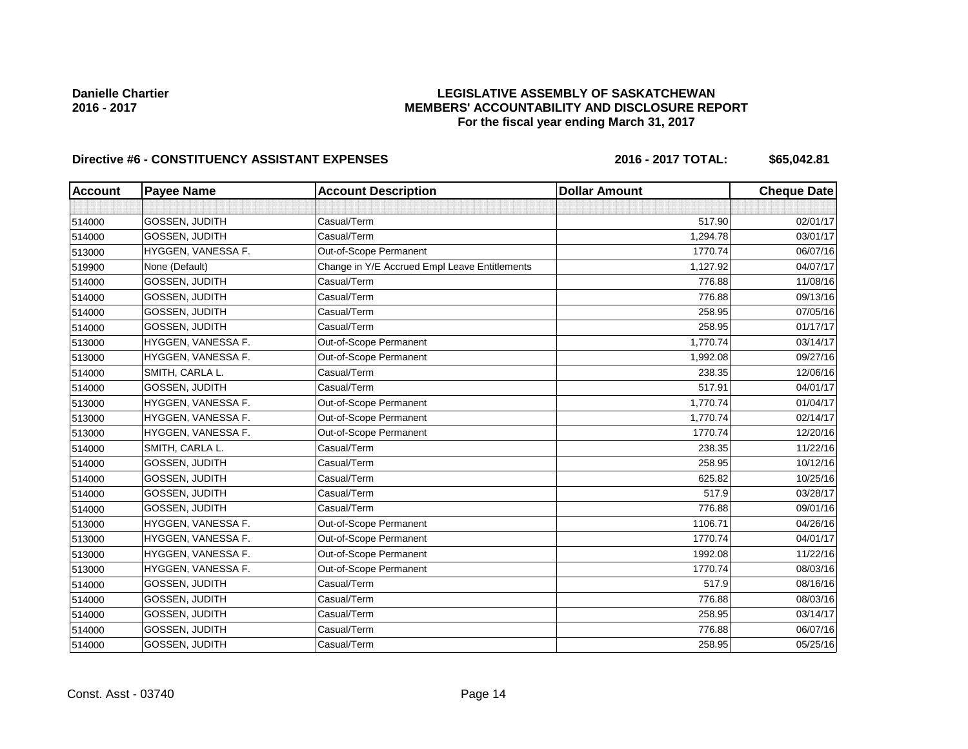### **LEGISLATIVE ASSEMBLY OF SASKATCHEWAN MEMBERS' ACCOUNTABILITY AND DISCLOSURE REPORT For the fiscal year ending March 31, 2017**

# Directive #6 - CONSTITUENCY ASSISTANT EXPENSES 2016 - 2016 - 2017 TOTAL: \$65,042.81

| <b>Account</b> | <b>Payee Name</b>     | <b>Account Description</b>                    | <b>Dollar Amount</b> | <b>Cheque Date</b> |
|----------------|-----------------------|-----------------------------------------------|----------------------|--------------------|
|                |                       |                                               |                      |                    |
| 514000         | GOSSEN, JUDITH        | Casual/Term                                   | 517.90               | 02/01/17           |
| 514000         | GOSSEN, JUDITH        | Casual/Term                                   | 1,294.78             | 03/01/17           |
| 513000         | HYGGEN, VANESSA F.    | Out-of-Scope Permanent                        | 1770.74              | 06/07/16           |
| 519900         | None (Default)        | Change in Y/E Accrued Empl Leave Entitlements | 1,127.92             | 04/07/17           |
| 514000         | GOSSEN, JUDITH        | Casual/Term                                   | 776.88               | 11/08/16           |
| 514000         | GOSSEN, JUDITH        | Casual/Term                                   | 776.88               | 09/13/16           |
| 514000         | GOSSEN, JUDITH        | Casual/Term                                   | 258.95               | 07/05/16           |
| 514000         | GOSSEN, JUDITH        | Casual/Term                                   | 258.95               | 01/17/17           |
| 513000         | HYGGEN, VANESSA F.    | Out-of-Scope Permanent                        | 1,770.74             | 03/14/17           |
| 513000         | HYGGEN, VANESSA F.    | Out-of-Scope Permanent                        | 1,992.08             | 09/27/16           |
| 514000         | SMITH, CARLA L.       | Casual/Term                                   | 238.35               | 12/06/16           |
| 514000         | <b>GOSSEN, JUDITH</b> | Casual/Term                                   | 517.91               | 04/01/17           |
| 513000         | HYGGEN, VANESSA F.    | Out-of-Scope Permanent                        | 1,770.74             | 01/04/17           |
| 513000         | HYGGEN, VANESSA F.    | Out-of-Scope Permanent                        | 1,770.74             | 02/14/17           |
| 513000         | HYGGEN, VANESSA F.    | Out-of-Scope Permanent                        | 1770.74              | 12/20/16           |
| 514000         | SMITH, CARLA L.       | Casual/Term                                   | 238.35               | 11/22/16           |
| 514000         | <b>GOSSEN, JUDITH</b> | Casual/Term                                   | 258.95               | 10/12/16           |
| 514000         | GOSSEN, JUDITH        | Casual/Term                                   | 625.82               | 10/25/16           |
| 514000         | GOSSEN, JUDITH        | Casual/Term                                   | 517.9                | 03/28/17           |
| 514000         | <b>GOSSEN, JUDITH</b> | Casual/Term                                   | 776.88               | 09/01/16           |
| 513000         | HYGGEN, VANESSA F.    | Out-of-Scope Permanent                        | 1106.71              | 04/26/16           |
| 513000         | HYGGEN, VANESSA F.    | Out-of-Scope Permanent                        | 1770.74              | 04/01/17           |
| 513000         | HYGGEN, VANESSA F.    | Out-of-Scope Permanent                        | 1992.08              | 11/22/16           |
| 513000         | HYGGEN, VANESSA F.    | Out-of-Scope Permanent                        | 1770.74              | 08/03/16           |
| 514000         | GOSSEN, JUDITH        | Casual/Term                                   | 517.9                | 08/16/16           |
| 514000         | GOSSEN, JUDITH        | Casual/Term                                   | 776.88               | 08/03/16           |
| 514000         | GOSSEN, JUDITH        | Casual/Term                                   | 258.95               | 03/14/17           |
| 514000         | <b>GOSSEN, JUDITH</b> | Casual/Term                                   | 776.88               | 06/07/16           |
| 514000         | GOSSEN, JUDITH        | Casual/Term                                   | 258.95               | 05/25/16           |